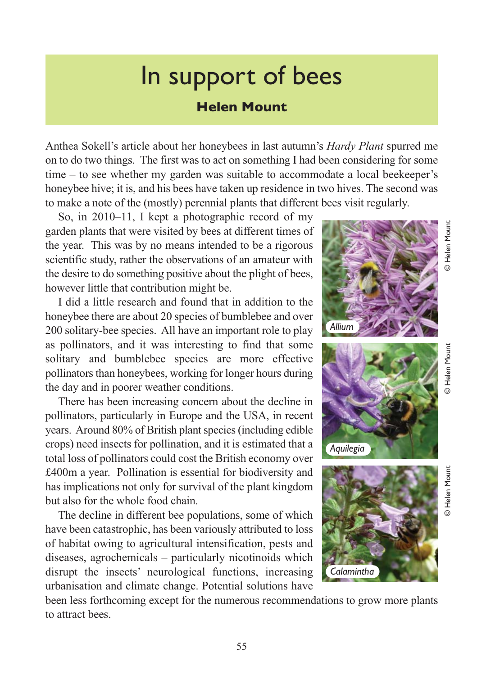## In support of bees

## **Helen Mount**

Anthea Sokell's article about her honeybees in last autumn's *Hardy Plant* spurred me on to do two things. The first was to act on something I had been considering for some time – to see whether my garden was suitable to accommodate a local beekeeper's honeybee hive; it is, and his bees have taken up residence in two hives. The second was to make a note of the (mostly) perennial plants that different bees visit regularly.

So, in 2010–11, I kept a photographic record of my garden plants that were visited by bees at different times of the year. This was by no means intended to be a rigorous scientific study, rather the observations of an amateur with the desire to do something positive about the plight of bees, however little that contribution might be.

I did a little research and found that in addition to the honeybee there are about 20 species of bumblebee and over 200 solitary-bee species. All have an important role to play as pollinators, and it was interesting to find that some solitary and bumblebee species are more effective pollinators than honeybees, working for longer hours during the day and in poorer weather conditions.

There has been increasing concern about the decline in pollinators, particularly in Europe and the USA, in recent years. Around 80% of British plant species (including edible crops) need insects for pollination, and it is estimated that a total loss of pollinators could cost the British economy over £400m a year. Pollination is essential for biodiversity and has implications not only for survival of the plant kingdom but also for the whole food chain.

The decline in different bee populations, some of which have been catastrophic, has been variously attributed to loss of habitat owing to agricultural intensification, pests and diseases, agrochemicals – particularly nicotinoids which disrupt the insects' neurological functions, increasing urbanisation and climate change. Potential solutions have

been less forthcoming except for the numerous recommendations to grow more plants to attract bees.



*Calamintha*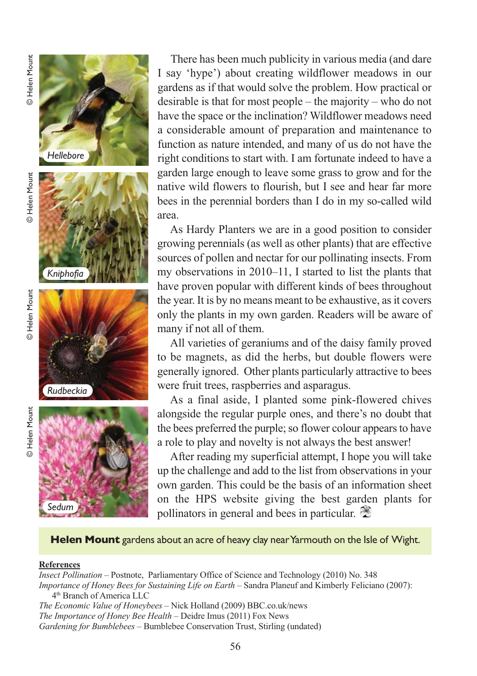





There has been much publicity in various media (and dare I say 'hype') about creating wildflower meadows in our gardens as if that would solve the problem. How practical or desirable is that for most people – the majority – who do not have the space or the inclination? Wildflower meadows need a considerable amount of preparation and maintenance to function as nature intended, and many of us do not have the right conditions to start with. I am fortunate indeed to have a garden large enough to leave some grass to grow and for the native wild flowers to flourish, but I see and hear far more bees in the perennial borders than I do in my so-called wild area.

As Hardy Planters we are in a good position to consider growing perennials (as well as other plants) that are effective sources of pollen and nectar for our pollinating insects. From my observations in 2010–11, I started to list the plants that have proven popular with different kinds of bees throughout the year. It is by no means meant to be exhaustive, as it covers only the plants in my own garden. Readers will be aware of many if not all of them.

All varieties of geraniums and of the daisy family proved to be magnets, as did the herbs, but double flowers were generally ignored. Other plants particularly attractive to bees were fruit trees, raspberries and asparagus.

As a final aside, I planted some pink-flowered chives alongside the regular purple ones, and there's no doubt that the bees preferred the purple; so flower colour appears to have a role to play and novelty is not always the best answer!

After reading my superficial attempt, I hope you will take up the challenge and add to the list from observations in your own garden. This could be the basis of an information sheet on the HPS website giving the best garden plants for pollinators in general and bees in particular.

**Helen Mount** gardens about an acre of heavy clay near Yarmouth on the Isle of Wight.

#### **References**

© Helen Mount

**D** Helen Mount

*Insect Pollination* – Postnote, Parliamentary Office of Science and Technology (2010) No. 348 *Importance of Honey Bees for Sustaining Life on Earth* – Sandra Planeuf and Kimberly Feliciano (2007): 4th Branch of America LLC *The Economic Value of Honeybees* – Nick Holland (2009) BBC.co.uk/news *The Importance of Honey Bee Health* – Deidre Imus (2011) Fox News *Gardening for Bumblebees* – Bumblebee Conservation Trust, Stirling (undated)